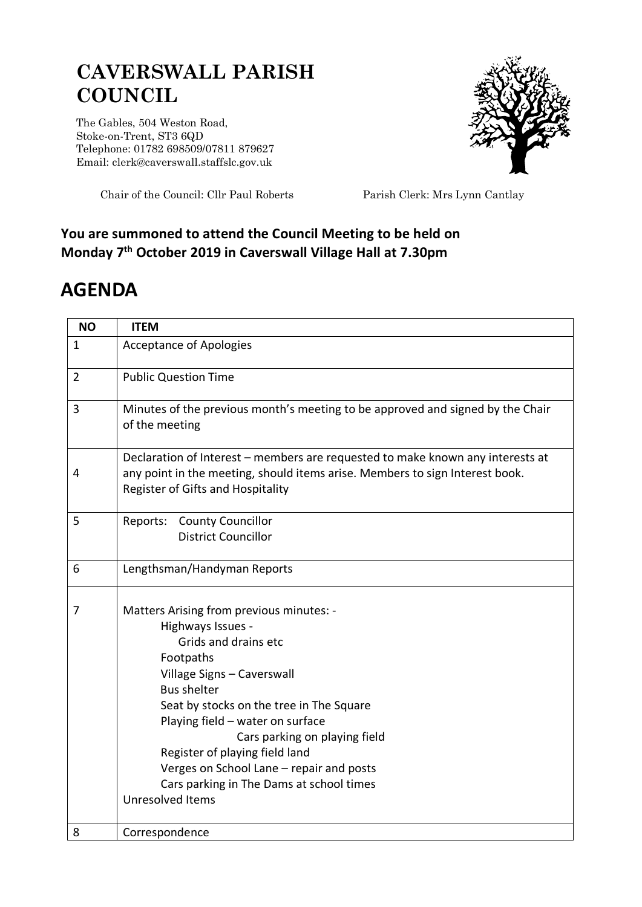## **CAVERSWALL PARISH COUNCIL**

The Gables, 504 Weston Road, Stoke-on-Trent, ST3 6QD Telephone: 01782 698509/07811 879627 Email: clerk@caverswall.staffslc.gov.uk



Chair of the Council: Cllr Paul Roberts Parish Clerk: Mrs Lynn Cantlay

## **You are summoned to attend the Council Meeting to be held on Monday 7 th October 2019 in Caverswall Village Hall at 7.30pm**

## **AGENDA**

| <b>NO</b>      | <b>ITEM</b>                                                                                                                                                                                                                                                                                                                                                                                                                  |
|----------------|------------------------------------------------------------------------------------------------------------------------------------------------------------------------------------------------------------------------------------------------------------------------------------------------------------------------------------------------------------------------------------------------------------------------------|
| $\mathbf{1}$   | <b>Acceptance of Apologies</b>                                                                                                                                                                                                                                                                                                                                                                                               |
| $\overline{2}$ | <b>Public Question Time</b>                                                                                                                                                                                                                                                                                                                                                                                                  |
| 3              | Minutes of the previous month's meeting to be approved and signed by the Chair<br>of the meeting                                                                                                                                                                                                                                                                                                                             |
| 4              | Declaration of Interest - members are requested to make known any interests at<br>any point in the meeting, should items arise. Members to sign Interest book.<br>Register of Gifts and Hospitality                                                                                                                                                                                                                          |
| 5              | Reports: County Councillor<br><b>District Councillor</b>                                                                                                                                                                                                                                                                                                                                                                     |
| 6              | Lengthsman/Handyman Reports                                                                                                                                                                                                                                                                                                                                                                                                  |
| 7              | Matters Arising from previous minutes: -<br>Highways Issues -<br>Grids and drains etc<br>Footpaths<br>Village Signs - Caverswall<br><b>Bus shelter</b><br>Seat by stocks on the tree in The Square<br>Playing field - water on surface<br>Cars parking on playing field<br>Register of playing field land<br>Verges on School Lane - repair and posts<br>Cars parking in The Dams at school times<br><b>Unresolved Items</b> |
| 8              | Correspondence                                                                                                                                                                                                                                                                                                                                                                                                               |